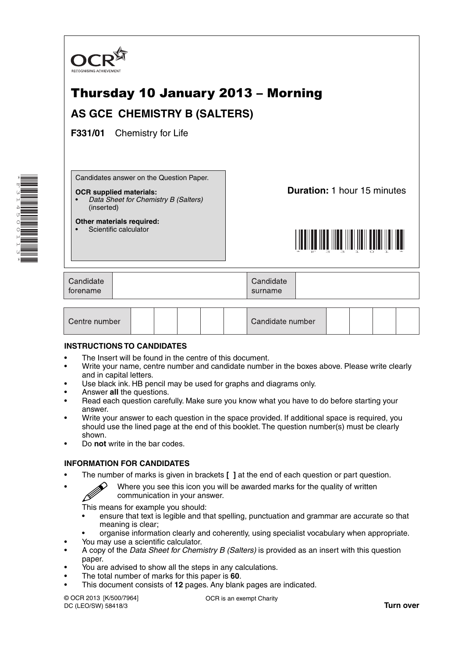

# Thursday 10 January 2013 – Morning **AS GCE CHEMISTRY B (SALTERS)**

**F331/01** Chemistry for Life

Candidates answer on the Question Paper.

#### **OCR supplied materials:**

• *Data Sheet for Chemistry B (Salters)* (inserted)

**Other materials required:** Scientific calculator

**Duration:** 1 hour 15 minutes



| Candidate<br>torename | Candidate<br>surname |  |
|-----------------------|----------------------|--|
|                       |                      |  |

| Centre number |  |  |  |  |  | Candidate number |  |  |  |  |  |
|---------------|--|--|--|--|--|------------------|--|--|--|--|--|
|---------------|--|--|--|--|--|------------------|--|--|--|--|--|

#### **INSTRUCTIONS TO CANDIDATES**

- The Insert will be found in the centre of this document.
- Write your name, centre number and candidate number in the boxes above. Please write clearly and in capital letters.
- Use black ink. HB pencil may be used for graphs and diagrams only.
- Answer **all** the questions.
- Read each question carefully. Make sure you know what you have to do before starting your answer.
- Write your answer to each question in the space provided. If additional space is required, you should use the lined page at the end of this booklet. The question number(s) must be clearly shown.
- Do **not** write in the bar codes.

#### **INFORMATION FOR CANDIDATES**

- The number of marks is given in brackets **[ ]** at the end of each question or part question.
- $\mathscr{D}$  Where you see this icon you will be awarded marks for the quality of written communication in your answer.

This means for example you should:

- ensure that text is legible and that spelling, punctuation and grammar are accurate so that meaning is clear;
- organise information clearly and coherently, using specialist vocabulary when appropriate.
- You may use a scientific calculator.
- A copy of the *Data Sheet for Chemistry B (Salters)* is provided as an insert with this question paper.
- You are advised to show all the steps in any calculations.
- The total number of marks for this paper is **60**.
- This document consists of **12** pages. Any blank pages are indicated.

© OCR 2013 [K/500/7964] DC (LEO/SW) 58418/3

OCR is an exempt Charity

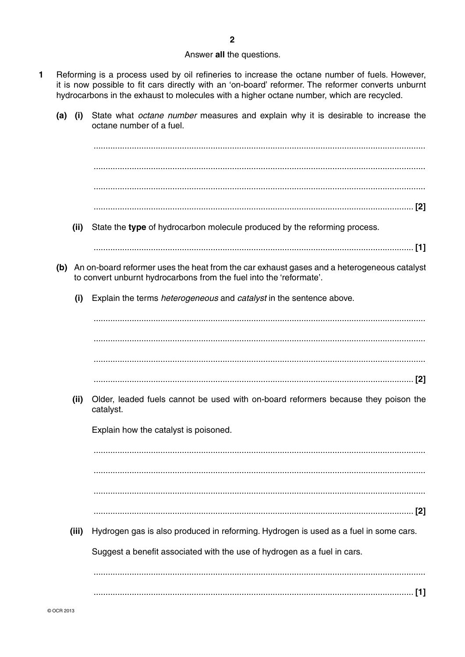#### Answer all the questions.

- $\blacksquare$ Reforming is a process used by oil refineries to increase the octane number of fuels. However, it is now possible to fit cars directly with an 'on-board' reformer. The reformer converts unburnt hydrocarbons in the exhaust to molecules with a higher octane number, which are recycled.
	- State what *octane number* measures and explain why it is desirable to increase the  $(a)$  (i) octane number of a fuel.

State the type of hydrocarbon molecule produced by the reforming process.  $(ii)$ 

- (b) An on-board reformer uses the heat from the car exhaust gases and a heterogeneous catalyst to convert unburnt hydrocarbons from the fuel into the 'reformate'.
	- Explain the terms *heterogeneous* and *catalyst* in the sentence above.  $(i)$

(ii) Older, leaded fuels cannot be used with on-board reformers because they poison the catalyst.

Explain how the catalyst is poisoned.

(iii) Hydrogen gas is also produced in reforming. Hydrogen is used as a fuel in some cars.

Suggest a benefit associated with the use of hydrogen as a fuel in cars.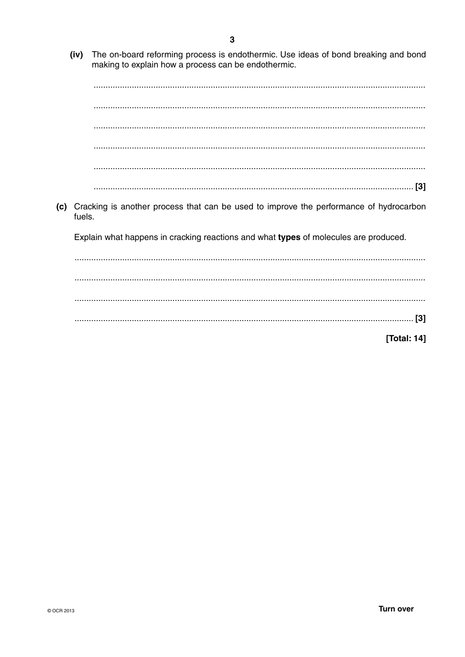- $\overline{3}$
- (iv) The on-board reforming process is endothermic. Use ideas of bond breaking and bond making to explain how a process can be endothermic.

(c) Cracking is another process that can be used to improve the performance of hydrocarbon fuels. Explain what happens in cracking reactions and what types of molecules are produced. 

[Total: 14]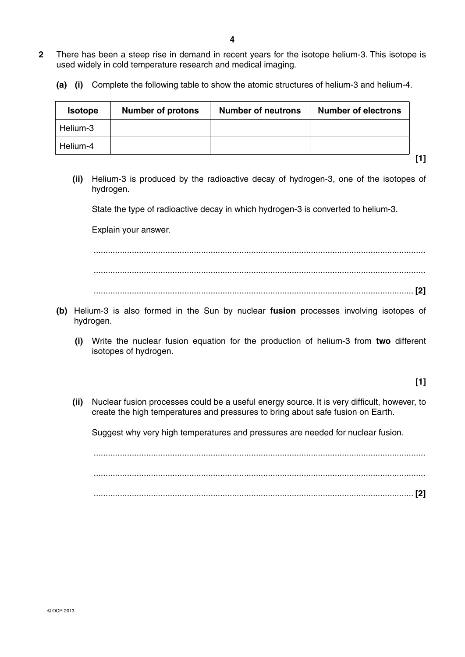- **2** There has been a steep rise in demand in recent years for the isotope helium-3. This isotope is used widely in cold temperature research and medical imaging.
	- **(a) (i)** Complete the following table to show the atomic structures of helium-3 and helium-4.

| <b>Isotope</b> | <b>Number of protons</b> | <b>Number of neutrons</b> | <b>Number of electrons</b> |
|----------------|--------------------------|---------------------------|----------------------------|
| Helium-3       |                          |                           |                            |
| Helium-4       |                          |                           |                            |

- 
- **(ii)** Helium-3 is produced by the radioactive decay of hydrogen-3, one of the isotopes of hydrogen.

State the type of radioactive decay in which hydrogen-3 is converted to helium-3.

Explain your answer.

 ........................................................................................................................................... ........................................................................................................................................... ...................................................................................................................................... **[2]**

- **(b)** Helium-3 is also formed in the Sun by nuclear **fusion** processes involving isotopes of hydrogen.
	- **(i)** Write the nuclear fusion equation for the production of helium-3 from **two** different isotopes of hydrogen.

## **[1]**

**[1]**

 **(ii)** Nuclear fusion processes could be a useful energy source. It is very difficult, however, to create the high temperatures and pressures to bring about safe fusion on Earth.

Suggest why very high temperatures and pressures are needed for nuclear fusion.

 ........................................................................................................................................... ........................................................................................................................................... ...................................................................................................................................... **[2]**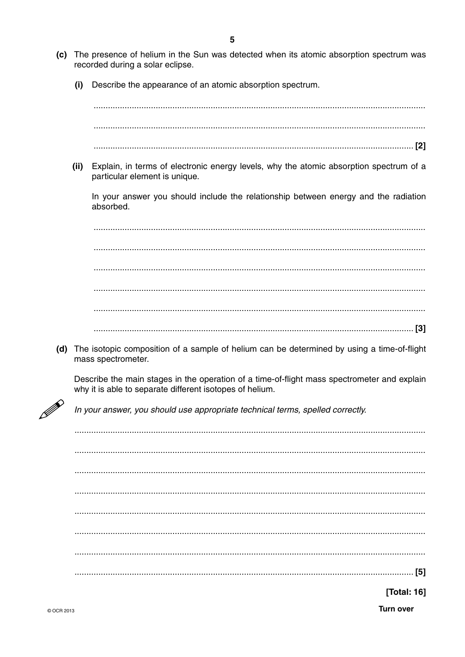- (c) The presence of helium in the Sun was detected when its atomic absorption spectrum was recorded during a solar eclipse.
	- Describe the appearance of an atomic absorption spectrum.  $(i)$

 $(ii)$ Explain, in terms of electronic energy levels, why the atomic absorption spectrum of a particular element is unique.

In your answer you should include the relationship between energy and the radiation absorbed

(d) The isotopic composition of a sample of helium can be determined by using a time-of-flight mass spectrometer.

Describe the main stages in the operation of a time-of-flight mass spectrometer and explain why it is able to separate different isotopes of helium.

In your answer, you should use appropriate technical terms, spelled correctly.

**[Total: 16]** 

**Turn over**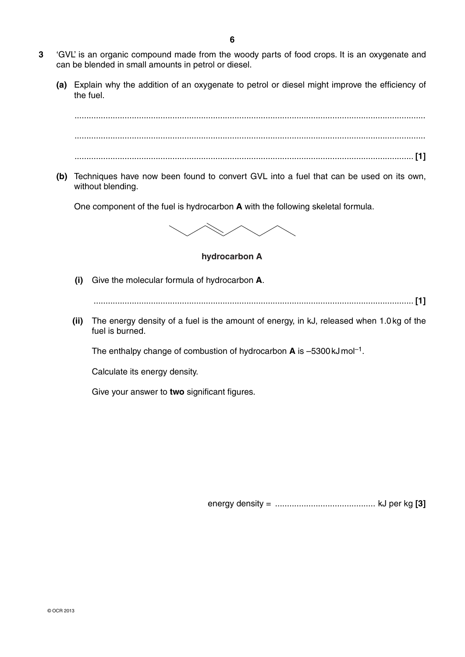- **3** 'GVL' is an organic compound made from the woody parts of food crops. It is an oxygenate and can be blended in small amounts in petrol or diesel.
	- **(a)** Explain why the addition of an oxygenate to petrol or diesel might improve the efficiency of the fuel.



 **(b)** Techniques have now been found to convert GVL into a fuel that can be used on its own, without blending.

One component of the fuel is hydrocarbon **A** with the following skeletal formula.



**hydrocarbon A**

 **(i)** Give the molecular formula of hydrocarbon **A**.

...................................................................................................................................... **[1]**

 **(ii)** The energy density of a fuel is the amount of energy, in kJ, released when 1.0 kg of the fuel is burned.

The enthalpy change of combustion of hydrocarbon **A** is –5300 kJ mol–1.

Calculate its energy density.

Give your answer to **two** significant figures.

energy density = .......................................... kJ per kg **[3]**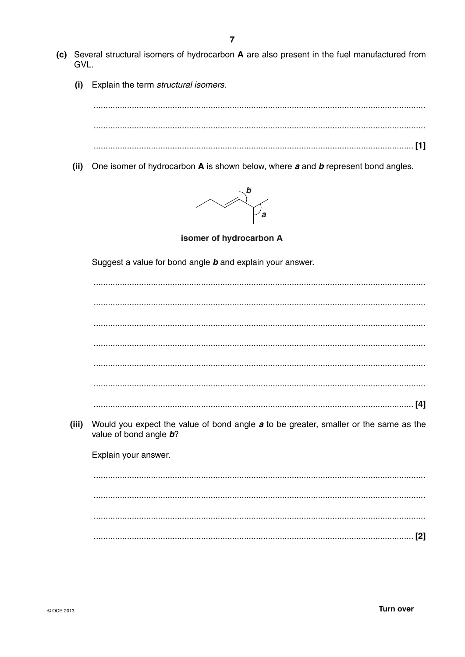- (c) Several structural isomers of hydrocarbon A are also present in the fuel manufactured from GVL.
	- Explain the term structural isomers.  $(i)$

(ii) One isomer of hydrocarbon A is shown below, where a and b represent bond angles.



isomer of hydrocarbon A

Suggest a value for bond angle **b** and explain your answer.

|       | [4]                                                                                                            |
|-------|----------------------------------------------------------------------------------------------------------------|
| (iii) | Would you expect the value of bond angle a to be greater, smaller or the same as the<br>value of bond angle b? |
|       | Explain your answer.                                                                                           |
|       |                                                                                                                |
|       |                                                                                                                |
|       |                                                                                                                |
|       |                                                                                                                |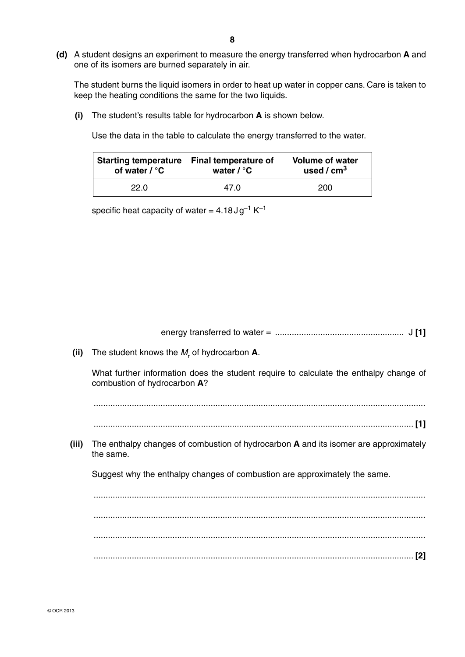**(d)** A student designs an experiment to measure the energy transferred when hydrocarbon **A** and one of its isomers are burned separately in air.

The student burns the liquid isomers in order to heat up water in copper cans. Care is taken to keep the heating conditions the same for the two liquids.

 **(i)** The student's results table for hydrocarbon **A** is shown below.

Use the data in the table to calculate the energy transferred to the water.

| <b>Starting temperature</b> | Final temperature of | <b>Volume of water</b> |  |  |
|-----------------------------|----------------------|------------------------|--|--|
| of water $\ell$ °C          | water $\ell$ °C      | used / $cm3$           |  |  |
| 22.0                        | 47.O                 | 200                    |  |  |

specific heat capacity of water =  $4.18 \text{ J} \text{g}^{-1} \text{K}^{-1}$ 

energy transferred to water = ...................................................... J **[1]**

What further information does the student require to calculate the enthalpy change of combustion of hydrocarbon **A**?

...........................................................................................................................................

- ...................................................................................................................................... **[1]**
- **(iii)** The enthalpy changes of combustion of hydrocarbon **A** and its isomer are approximately the same.

Suggest why the enthalpy changes of combustion are approximately the same.

 ........................................................................................................................................... ........................................................................................................................................... ........................................................................................................................................... ...................................................................................................................................... **[2]**

**<sup>(</sup>ii)** The student knows the  $M_r$  of hydrocarbon **A**.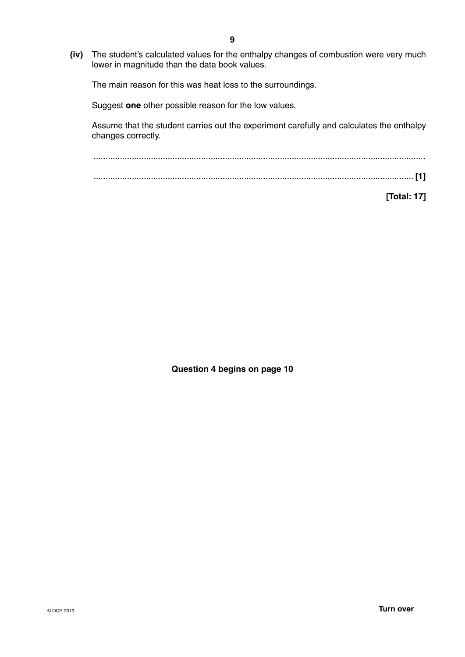**(iv)** The student's calculated values for the enthalpy changes of combustion were very much lower in magnitude than the data book values.

The main reason for this was heat loss to the surroundings.

Suggest **one** other possible reason for the low values.

Assume that the student carries out the experiment carefully and calculates the enthalpy changes correctly.

 ........................................................................................................................................... ...................................................................................................................................... **[1]**

**[Total: 17]**

**Question 4 begins on page 10**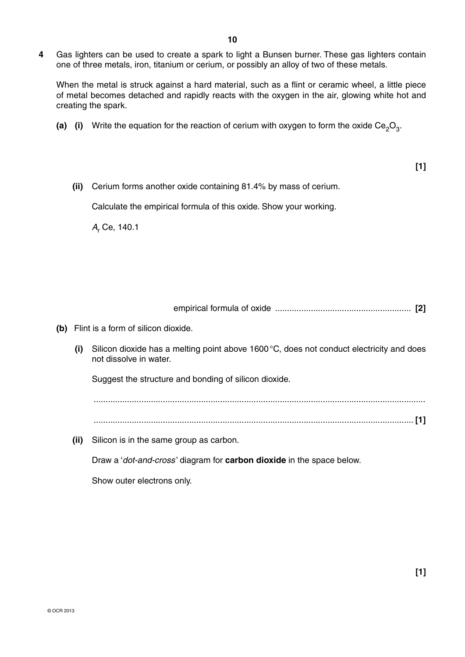**4** Gas lighters can be used to create a spark to light a Bunsen burner. These gas lighters contain one of three metals, iron, titanium or cerium, or possibly an alloy of two of these metals.

When the metal is struck against a hard material, such as a flint or ceramic wheel, a little piece of metal becomes detached and rapidly reacts with the oxygen in the air, glowing white hot and creating the spark.

**(a)** (i) Write the equation for the reaction of cerium with oxygen to form the oxide Ce<sub>2</sub>O<sub>3</sub>.

**[1]**

 **(ii)** Cerium forms another oxide containing 81.4% by mass of cerium.

Calculate the empirical formula of this oxide. Show your working.

 $A_{\mathsf{r}}$  Ce, 140.1

empirical formula of oxide ......................................................... **[2]**

- **(b)** Flint is a form of silicon dioxide.
	- **(i)** Silicon dioxide has a melting point above 1600 °C, does not conduct electricity and does not dissolve in water.

Suggest the structure and bonding of silicon dioxide.

 ........................................................................................................................................... ...................................................................................................................................... **[1]**

 **(ii)** Silicon is in the same group as carbon.

Draw a '*dot-and-cross* ' diagram for **carbon dioxide** in the space below.

Show outer electrons only.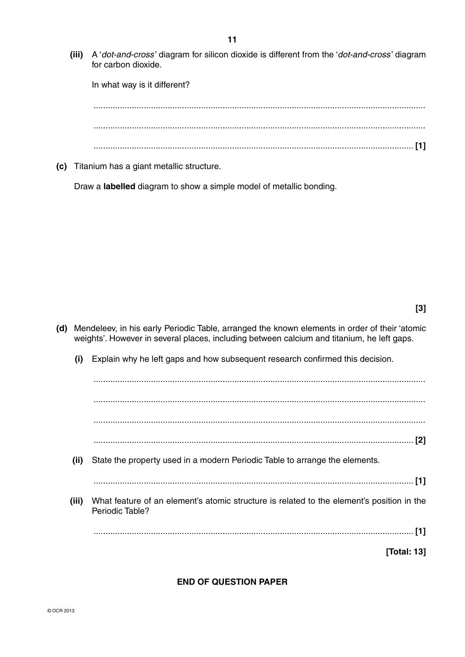**(iii)** A '*dot-and-cross* ' diagram for silicon dioxide is different from the '*dot-and-cross* ' diagram for carbon dioxide.

In what way is it different? ........................................................................................................................................... ........................................................................................................................................... ...................................................................................................................................... **[1]**

 **(c)** Titanium has a giant metallic structure.

Draw a **labelled** diagram to show a simple model of metallic bonding.

- **(d)** Mendeleev, in his early Periodic Table, arranged the known elements in order of their 'atomic weights'. However in several places, including between calcium and titanium, he left gaps.
	- **(i)** Explain why he left gaps and how subsequent research confirmed this decision.

 ........................................................................................................................................... ........................................................................................................................................... ........................................................................................................................................... ...................................................................................................................................... **[2] (ii)** State the property used in a modern Periodic Table to arrange the elements. ...................................................................................................................................... **[1] (iii)** What feature of an element's atomic structure is related to the element's position in the Periodic Table? ...................................................................................................................................... **[1]**

**[Total: 13]**

## **END OF QUESTION PAPER**

© OCR 2013